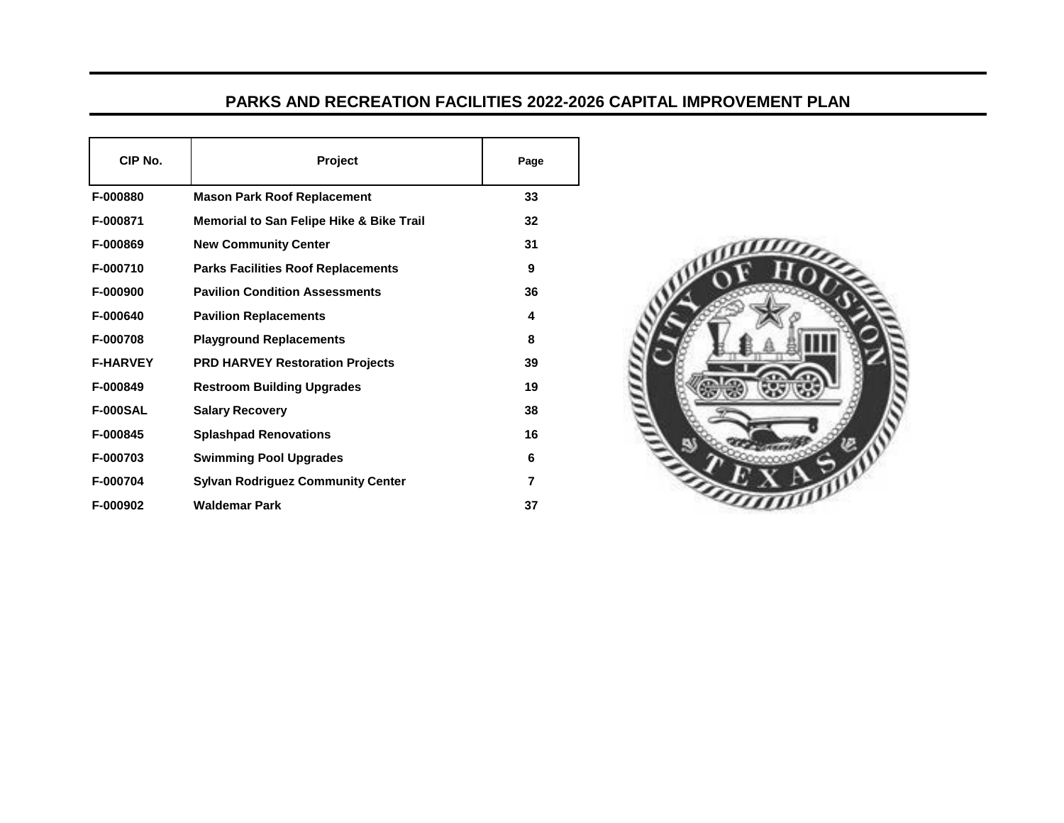## **PARKS AND RECREATION FACILITIES 2022-2026 CAPITAL IMPROVEMENT PLAN**

| CIP No.         | Project                                             | Page |
|-----------------|-----------------------------------------------------|------|
| F-000880        | <b>Mason Park Roof Replacement</b>                  | 33   |
| F-000871        | <b>Memorial to San Felipe Hike &amp; Bike Trail</b> | 32   |
| F-000869        | <b>New Community Center</b>                         | 31   |
| F-000710        | <b>Parks Facilities Roof Replacements</b>           | 9    |
| F-000900        | <b>Pavilion Condition Assessments</b>               | 36   |
| F-000640        | <b>Pavilion Replacements</b>                        | 4    |
| F-000708        | <b>Playground Replacements</b>                      | 8    |
| <b>F-HARVEY</b> | <b>PRD HARVEY Restoration Projects</b>              | 39   |
| F-000849        | <b>Restroom Building Upgrades</b>                   | 19   |
| <b>F-000SAL</b> | <b>Salary Recovery</b>                              | 38   |
| F-000845        | <b>Splashpad Renovations</b>                        | 16   |
| F-000703        | <b>Swimming Pool Upgrades</b>                       | 6    |
| F-000704        | <b>Sylvan Rodriguez Community Center</b>            | 7    |
| F-000902        | <b>Waldemar Park</b>                                | 37   |